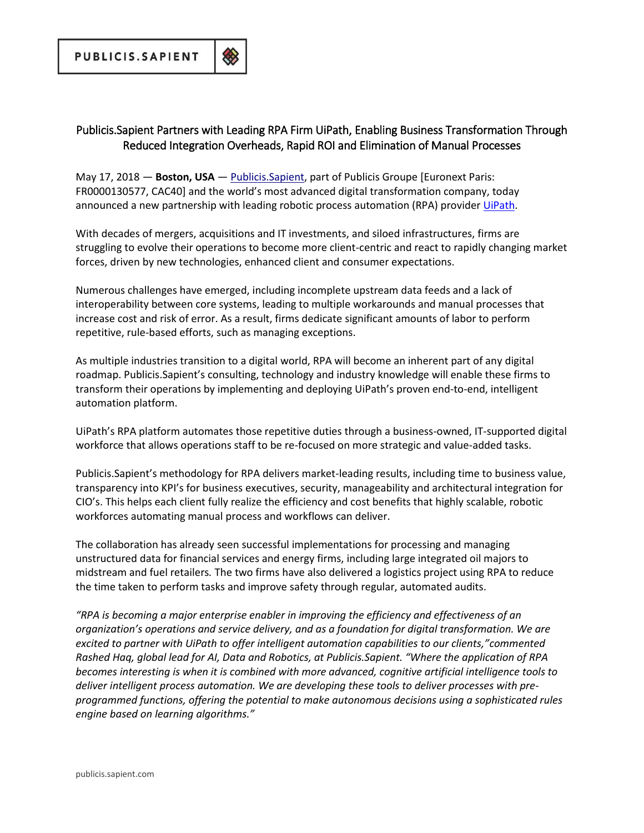## Publicis. Sapient Partners with Leading RPA Firm UiPath, Enabling Business Transformation Through Reduced Integration Overheads, Rapid ROI and Elimination of Manual Processes

May 17, 2018 - Boston, USA - Publicis. Sapient, part of Publicis Groupe [Euronext Paris: FR0000130577, CAC40] and the world's most advanced digital transformation company, today announced a new partnership with leading robotic process automation (RPA) provider UiPath.

With decades of mergers, acquisitions and IT investments, and siloed infrastructures, firms are struggling to evolve their operations to become more client-centric and react to rapidly changing market forces, driven by new technologies, enhanced client and consumer expectations.

Numerous challenges have emerged, including incomplete upstream data feeds and a lack of interoperability between core systems, leading to multiple workarounds and manual processes that increase cost and risk of error. As a result, firms dedicate significant amounts of labor to perform repetitive, rule-based efforts, such as managing exceptions.

As multiple industries transition to a digital world, RPA will become an inherent part of any digital roadmap. Publicis.Sapient's consulting, technology and industry knowledge will enable these firms to transform their operations by implementing and deploying UiPath's proven end-to-end, intelligent automation platform.

UiPath's RPA platform automates those repetitive duties through a business-owned, IT-supported digital workforce that allows operations staff to be re-focused on more strategic and value-added tasks.

Publicis.Sapient's methodology for RPA delivers market-leading results, including time to business value, transparency into KPI's for business executives, security, manageability and architectural integration for CIO's. This helps each client fully realize the efficiency and cost benefits that highly scalable, robotic workforces automating manual process and workflows can deliver.

The collaboration has already seen successful implementations for processing and managing unstructured data for financial services and energy firms, including large integrated oil majors to midstream and fuel retailers. The two firms have also delivered a logistics project using RPA to reduce the time taken to perform tasks and improve safety through regular, automated audits.

"RPA is becoming a major enterprise enabler in improving the efficiency and effectiveness of an organization's operations and service delivery, and as a foundation for digital transformation. We are excited to partner with UiPath to offer intelligent automation capabilities to our clients,"commented Rashed Haq, global lead for AI, Data and Robotics, at Publicis. Sapient. "Where the application of RPA becomes interesting is when it is combined with more advanced, cognitive artificial intelligence tools to deliver intelligent process automation. We are developing these tools to deliver processes with preprogrammed functions, offering the potential to make autonomous decisions using a sophisticated rules engine based on learning algorithms."